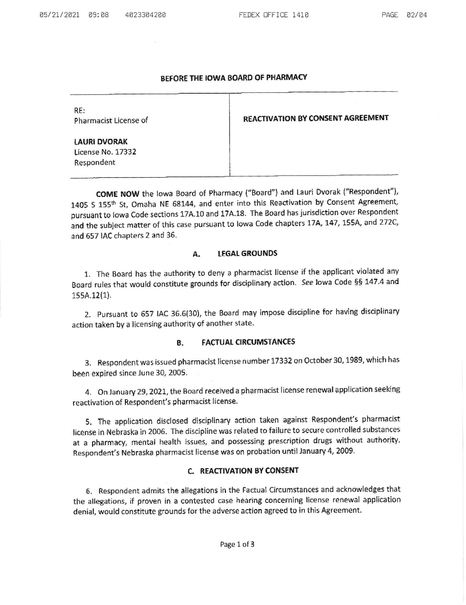## BEFORE THE IOWA BOARD OF PHARMACY

RE:

Pharmacist License of **REACTIVATION BY CONSENT AGREEMENT** 

LAURI DVORAK License No. 17332 Respondent

COME NOW the lowa Board of Pharmacy ("Board") and Lauri Dvorak ("Respondent"), 1405 S 155<sup>th</sup> St, Omaha NE 68144, and enter into this Reactivation by Consent Agreement, pursuant to lowa Code sections 17A.10 and 17A.18. The Board has jurisdiction over Respondent and the subject matter of this case pursuant to lowa Code chapters 17A, 147, 155A, and 272C, and 557 IAC chapters 2 and 36.

# A. LEGAL GROUNDS

1. The Board has the authority to deny a pharmacist license if the applicant violated any Board rules that would constitute grounds for disciplinary action. See lowa Code §§ 147.4 and 1ssA.12(1).

2. Pursuant to 657 IAC 36.6(30), the Board may impose discipline for having disciplinary action taken by a licensing authority of another state.

### B. FACTUAL CIRCUMSTANCES

3. Respondent was issued pharmacist license number 17332 on October 30, 1989, which has been expired since lune 30, 2005

4. On Janusry 29, 202L, the Board received a pharmacist license renewal application seeking reactivation of Respondent's pharmacist license.

5. The application disclosed disciplinary action taken against Respohdent's pharmacist license in Nebraska in 2006. The discipline was related to failure to secure controlled substances at a pharmacy, mental health issues, and possessing prescription drugs without authority. Respondent's Nebraska pharmacist license was on probation until January 4, 2009-

## C. REACTIVATION BYCONSENT

6. Respondent admits the allegations in the Factual circumstances and acknowledges that the allegations, if proven in a contested case hearing concerning license renewal application denial, would constitute grounds for the adverse action agreed to in this Agreement.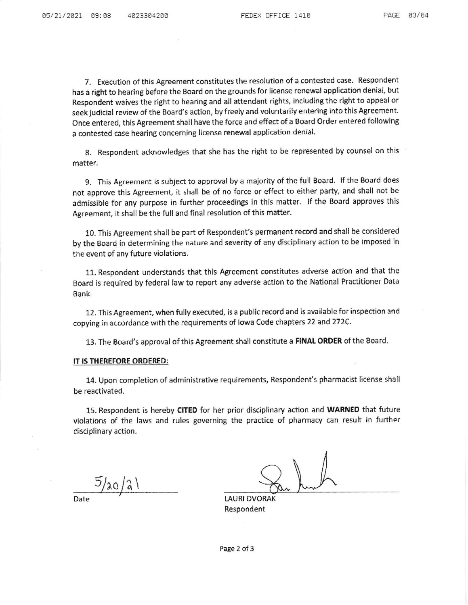7. Execution of this Agreement constitutes the resolution of a contested case. Respondent has a right to hearing before the Board on the grounds for license renewal application denial, but Respondent waives the right to hearing and all attendant rights, including the right to appeal or seek judicial review of the Board's action, by {reely and voluntarily entering into this Agreement. Once entered, this Agreement shall have the force and effect of a Board Order entered following a contested case hearing concerning license renewal application denial.

8. Respondent acknowledges that she has the right to be represented by counsel on this matter.

9. This Agreement is subject to approval by a majority of the full Board. If the Board does not approve this Agreement, it shall be of no force or effect to either party, and shall not be admissible for any purpose in further proceedings in this matter. lf the Board approves this Agreement, it shall be the full and final resolution of this matter.

10. This Agreement shall be part of Respondent's permanent record and shall be considered by the Board in determining the nature and severity of any disciplinary action to be imposed in the event of any future violations.

11. Respondent understands that this Agreement constitutes adverse action and that the Board is required by federal law to report any adverse adion to the National Practitioner Data Bank.

12. This Agreement, when fully executed, is a public record and is available for inspection and copying in accordance with the requirements of Iowa Code chapters 22 and 272C.

13. The Board's approval of this Agreement shall constitute a FINAL ORDER of the Board.

#### IT IS THEREFORE ORDERED:

14. Upon completion of administrative requirements, Respondent's pharmacist license shall be reactivated.

15. Respondent is hereby CITED for her prior disciplinary action and WARNED that future violations of the laws and rules governing the practice of pharmacy can resuh in further disciplinary action.

 $5/a0/21$ 

LAURI DVORAK Respondent

Date

Page 2 of 3